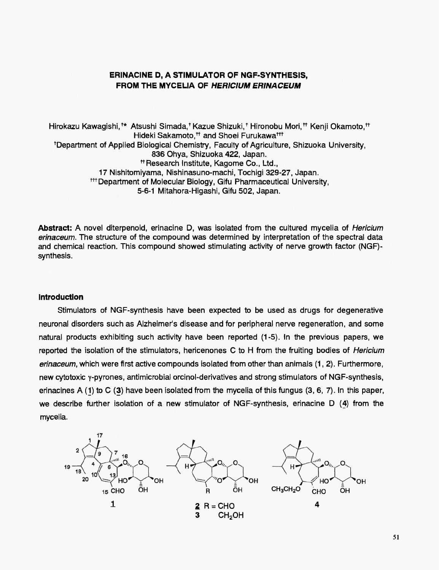# **ERINACINE D. A STIMULATOR OF NGF-SYNTHESIS.** FROM THE MYCELIA OF HERICIUM ERINACEUM

Hirokazu Kawaqishi, \*\* Atsushi Simada, \*Kazue Shizuki, \*Hironobu Mori, \*\* Kenii Okamoto, \*\* Hideki Sakamoto.<sup>++</sup> and Shoei Furukawa<sup>+++</sup> <sup>t</sup>Department of Applied Biological Chemistry, Faculty of Agriculture, Shizuoka University, 836 Ohya, Shizuoka 422, Japan. <sup>#</sup>Research Institute, Kagome Co., Ltd., 17 Nishitomiyama, Nishinasuno-machi, Tochigi 329-27, Japan. <sup>##</sup> Department of Molecular Biology, Gifu Pharmaceutical University. 5-6-1 Mitahora-Higashi, Gifu 502, Japan.

Abstract: A novel diterpenoid, erinacine D, was isolated from the cultured mycelia of *Hericium* erinaceum. The structure of the compound was determined by interpretation of the spectral data and chemical reaction. This compound showed stimulating activity of nerve growth factor (NGF)synthesis.

#### **Introduction**

Stimulators of NGF-synthesis have been expected to be used as drugs for degenerative neuronal disorders such as Alzheimer's disease and for peripheral nerve regeneration, and some natural products exhibiting such activity have been reported (1-5). In the previous papers, we reported the isolation of the stimulators, hericenones C to H from the fruiting bodies of *Hericium* erinaceum, which were first active compounds isolated from other than animals (1, 2). Furthermore, new cytotoxic y-pyrones, antimicrobial orcinol-derivatives and strong stimulators of NGF-synthesis, erinacines A  $(1)$  to C  $(3)$  have been isolated from the mycelia of this fungus  $(3, 6, 7)$ . In this paper, we describe further isolation of a new stimulator of NGF-synthesis, erinacine D (4) from the mycelia.

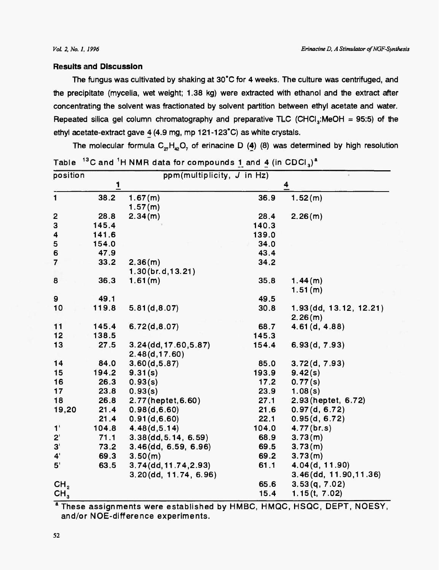### **Results and Discussion**

The fungus was cultivated by shaking at 30°C for 4 weeks. The culture was centrifuged, and the precipitate (mycelia, wet weight; 1.38 kg) were extracted with ethanol and the extract after concentrating the solvent was fractionated by solvent partition between ethyl acetate and water. Repeated silica gel column chromatography and preparative TLC (CHCl<sub>3</sub>:MeOH = 95:5) of the ethyl acetate-extract gave 4 (4.9 mg, mp 121-123°C) as white crystals.

| <sup>13</sup> C and <sup>1</sup> H NMR data for compounds 1 and 4 (in CDCl <sub>3</sub> ) <sup>a</sup><br>Table |                         |                            |       |                                 |
|-----------------------------------------------------------------------------------------------------------------|-------------------------|----------------------------|-------|---------------------------------|
| position                                                                                                        |                         | ppm(multiplicity, J in Hz) |       |                                 |
|                                                                                                                 | $\overline{\mathbf{1}}$ |                            |       | $\frac{4}{1}$                   |
| $\blacksquare$                                                                                                  | 38.2                    | 1.67(m)<br>1.57(m)         | 36.9  | 1.52(m)                         |
| 2                                                                                                               | 28.8                    | 2.34(m)                    | 28.4  | 2.26(m)                         |
| 3                                                                                                               | 145.4                   |                            | 140.3 |                                 |
|                                                                                                                 | 141.6                   |                            | 139.0 |                                 |
| 4<br>5                                                                                                          | 154.0                   |                            | 34.0  |                                 |
| 6                                                                                                               | 47.9                    |                            | 43.4  |                                 |
| $\overline{7}$                                                                                                  | 33.2                    | 2.36(m)                    | 34.2  |                                 |
|                                                                                                                 |                         | 1.30(br.d, 13.21)          |       |                                 |
| 8                                                                                                               | 36.3                    | 1.61(m)                    | 35.8  |                                 |
|                                                                                                                 |                         |                            |       | 1.44(m)<br>1.51(m)              |
| 9                                                                                                               | 49.1                    |                            | 49.5  |                                 |
| 10                                                                                                              | 119.8                   | 5.81(d, 8.07)              | 30.8  | 1.93 (dd, 13.12, 12.21)         |
|                                                                                                                 |                         |                            |       |                                 |
| 11                                                                                                              | 145.4                   | 6.72(d, 8.07)              | 68.7  | 2.26(m)<br>4.61(d, 4.88)        |
| 12                                                                                                              | 138.5                   |                            | 145.3 |                                 |
| 13                                                                                                              |                         |                            |       |                                 |
|                                                                                                                 | 27.5                    | $3.24$ (dd, 17.60, 5.87)   | 154.4 | 6.93(d, 7.93)                   |
|                                                                                                                 |                         | 2.48(d, 17.60)             |       |                                 |
| 14                                                                                                              | 84.0                    | 3.60(d, 5.87)              | 85.0  | 3.72(d, 7.93)                   |
| 15                                                                                                              | 194.2                   | 9.31(s)                    | 193.9 | 9.42(s)                         |
| 16                                                                                                              | 26.3                    | 0.93(s)                    | 17.2  | 0.77(s)                         |
| 17                                                                                                              | 23.8                    | 0.93(s)                    | 23.9  | 1.08(s)                         |
| 18                                                                                                              | 26.8                    | 2.77(heptet, 6.60)         | 27.1  | 2.93 (heptet, 6.72)             |
| 19,20                                                                                                           | 21.4                    | 0.98(d, 6.60)              | 21.6  | 0.97(d, 6.72)                   |
|                                                                                                                 | 21.4                    | 0.91(d, 6.60)              | 22.1  | 0.95(d, 6.72)                   |
| 1'                                                                                                              | 104.8                   | 4.48(d, 5.14)              | 104.0 | 4.77(br.s)                      |
| $2^{\prime}$                                                                                                    | 71.1                    | $3.38$ (dd, 5.14, 6.59)    | 68.9  | 3.73(m)                         |
| 3'                                                                                                              | 73.2                    | 3.46(dd, 6.59, 6.96)       | 69.5  | 3.73(m)                         |
| $4^{\prime}$                                                                                                    | 69.3                    | 3.50(m)                    | 69.2  | 3.73(m)                         |
| 5 <sup>1</sup>                                                                                                  | 63.5                    | $3.74$ (dd, 11.74, 2.93)   | 61.1  | 4.04(d, 11.90)                  |
|                                                                                                                 |                         | 3.20(dd, 11.74, 6.96)      |       | $3.46$ (dd, $11.90$ , $11.36$ ) |
| CH <sub>2</sub>                                                                                                 |                         |                            | 65.6  | 3.53(q, 7.02)                   |
| CH <sub>3</sub>                                                                                                 |                         |                            | 15.4  | 1.15(t, 7.02)                   |

The molecular formula  $C_{27}H_{42}O_7$  of erinacine D (4) (8) was determined by high resolution

<sup>a</sup> These assignments were established by HMBC, HMQC, HSQC, DEPT, NOESY, and/or NOE-difference experiments.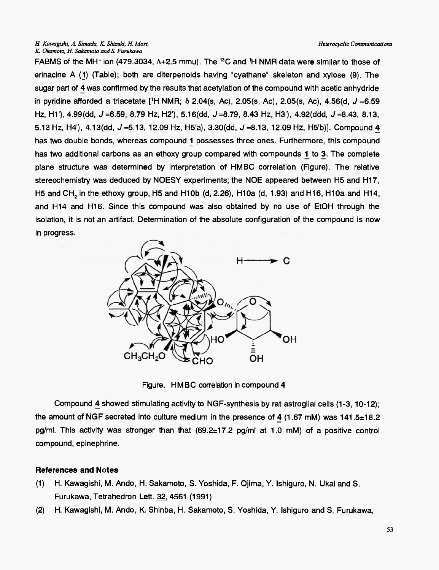#### H. Kawagishi, A. Simada, K. Shizuki, H. Mori, K. Okamoto, H. Sakamoto and S. Furukawa

FABMS of the MH<sup>+</sup> ion (479.3034,  $\Delta + 2.5$  mmu). The <sup>13</sup>C and <sup>1</sup>H NMR data were similar to those of erinacine A (1) (Table); both are diterpenoids having "cyathane" skeleton and xylose (9). The sugar part of 4 was confirmed by the results that acetylation of the compound with acetic anhydride in pyridine afforded a triacetate [<sup>1</sup>H NMR;  $\delta$  2.04(s, Ac), 2.05(s, Ac), 2.05(s, Ac), 4.56(d, J = 6.59 Hz, H1'), 4.99(dd,  $J = 6.59$ , 8.79 Hz, H2'), 5.16(dd,  $J = 8.79$ , 8.43 Hz, H3'), 4.92(ddd,  $J = 8.43$ , 8.13, 5.13 Hz, H4'), 4.13(dd, J = 5.13, 12.09 Hz, H5'a), 3.30(dd, J = 8.13, 12.09 Hz, H5'b)]. Compound 4 has two double bonds, whereas compound 1 possesses three ones. Furthermore, this compound has two additional carbons as an ethoxy group compared with compounds 1 to 3. The complete plane structure was determined by interpretation of HMBC correlation (Figure). The relative stereochemistry was deduced by NOESY experiments; the NOE appeared between H5 and H17, H5 and CH, in the ethoxy group, H5 and H10b (d, 2.26), H10a (d, 1.93) and H16, H10a and H14, and H14 and H16. Since this compound was also obtained by no use of EtOH through the isolation, it is not an artifact. Determination of the absolute configuration of the compound is now in progress.



Figure. HMBC correlation in compound 4

Compound 4 showed stimulating activity to NGF-synthesis by rat astroglial cells (1-3, 10-12); the amount of NGF secreted into culture medium in the presence of 4 (1.67 mM) was  $141.5 \pm 18.2$ pg/ml. This activity was stronger than that (69.2±17.2 pg/ml at 1.0 mM) of a positive control compound, epinephrine.

## **References and Notes**

- $(1)$ H. Kawagishi, M. Ando, H. Sakamoto, S. Yoshida, F. Ojima, Y. Ishiguro, N. Ukai and S. Furukawa, Tetrahedron Lett. 32, 4561 (1991)
- H. Kawagishi, M. Ando, K. Shinba, H. Sakamoto, S. Yoshida, Y. Ishiguro and S. Furukawa,  $(2)$